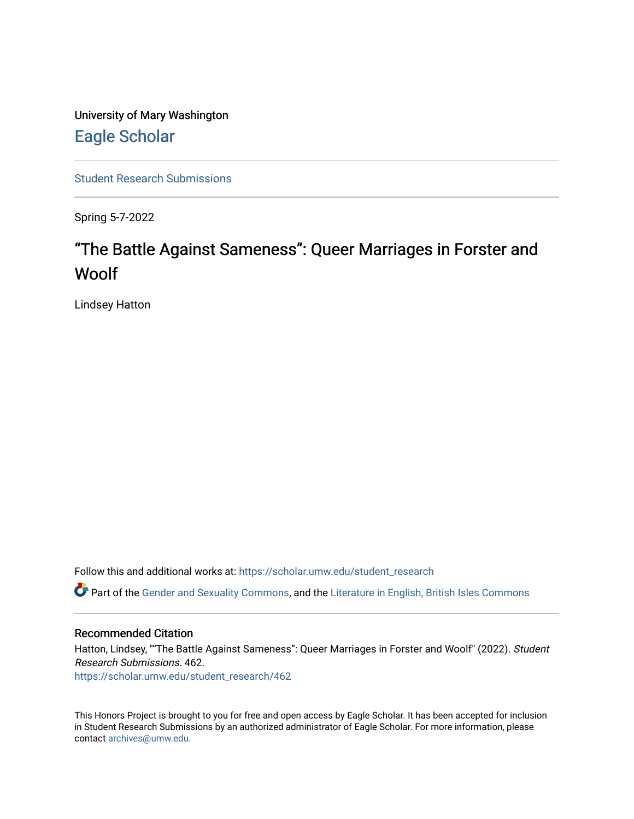University of Mary Washington [Eagle Scholar](https://scholar.umw.edu/) 

[Student Research Submissions](https://scholar.umw.edu/student_research) 

Spring 5-7-2022

## "The Battle Against Sameness": Queer Marriages in Forster and Woolf

Lindsey Hatton

Follow this and additional works at: [https://scholar.umw.edu/student\\_research](https://scholar.umw.edu/student_research?utm_source=scholar.umw.edu%2Fstudent_research%2F462&utm_medium=PDF&utm_campaign=PDFCoverPages)

Part of the [Gender and Sexuality Commons](https://network.bepress.com/hgg/discipline/420?utm_source=scholar.umw.edu%2Fstudent_research%2F462&utm_medium=PDF&utm_campaign=PDFCoverPages), and the [Literature in English, British Isles Commons](https://network.bepress.com/hgg/discipline/456?utm_source=scholar.umw.edu%2Fstudent_research%2F462&utm_medium=PDF&utm_campaign=PDFCoverPages) 

## Recommended Citation

Hatton, Lindsey, ""The Battle Against Sameness": Queer Marriages in Forster and Woolf" (2022). Student Research Submissions. 462.

[https://scholar.umw.edu/student\\_research/462](https://scholar.umw.edu/student_research/462?utm_source=scholar.umw.edu%2Fstudent_research%2F462&utm_medium=PDF&utm_campaign=PDFCoverPages)

This Honors Project is brought to you for free and open access by Eagle Scholar. It has been accepted for inclusion in Student Research Submissions by an authorized administrator of Eagle Scholar. For more information, please contact [archives@umw.edu](mailto:archives@umw.edu).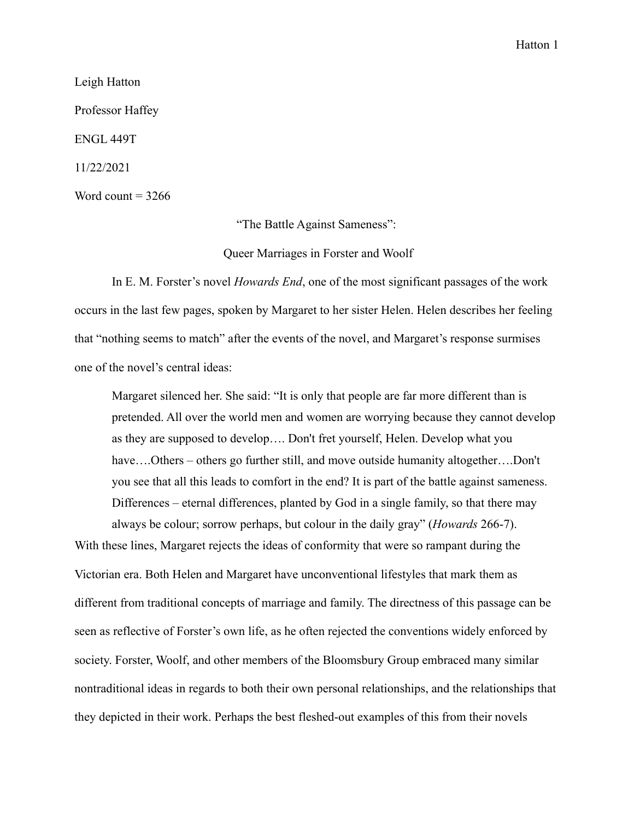Leigh Hatton Professor Haffey ENGL 449T 11/22/2021 Word count  $= 3266$ 

"The Battle Against Sameness":

Queer Marriages in Forster and Woolf

In E. M. Forster's novel *Howards End*, one of the most significant passages of the work occurs in the last few pages, spoken by Margaret to her sister Helen. Helen describes her feeling that "nothing seems to match" after the events of the novel, and Margaret's response surmises one of the novel's central ideas:

Margaret silenced her. She said: "It is only that people are far more different than is pretended. All over the world men and women are worrying because they cannot develop as they are supposed to develop…. Don't fret yourself, Helen. Develop what you have....Others – others go further still, and move outside humanity altogether....Don't you see that all this leads to comfort in the end? It is part of the battle against sameness. Differences – eternal differences, planted by God in a single family, so that there may always be colour; sorrow perhaps, but colour in the daily gray" (*Howards* 266-7).

With these lines, Margaret rejects the ideas of conformity that were so rampant during the Victorian era. Both Helen and Margaret have unconventional lifestyles that mark them as different from traditional concepts of marriage and family. The directness of this passage can be seen as reflective of Forster's own life, as he often rejected the conventions widely enforced by society. Forster, Woolf, and other members of the Bloomsbury Group embraced many similar nontraditional ideas in regards to both their own personal relationships, and the relationships that they depicted in their work. Perhaps the best fleshed-out examples of this from their novels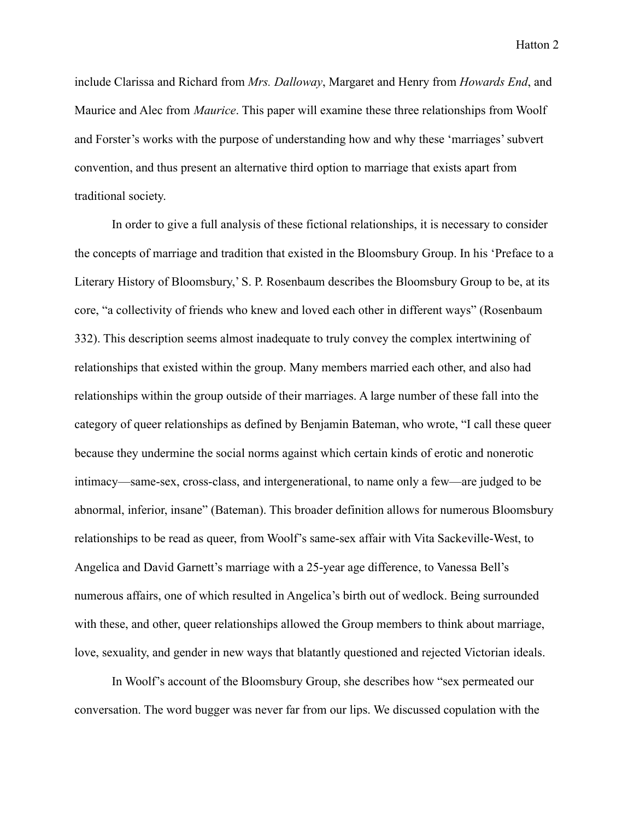include Clarissa and Richard from *Mrs. Dalloway*, Margaret and Henry from *Howards End*, and Maurice and Alec from *Maurice*. This paper will examine these three relationships from Woolf and Forster's works with the purpose of understanding how and why these 'marriages' subvert convention, and thus present an alternative third option to marriage that exists apart from traditional society.

In order to give a full analysis of these fictional relationships, it is necessary to consider the concepts of marriage and tradition that existed in the Bloomsbury Group. In his 'Preface to a Literary History of Bloomsbury,' S. P. Rosenbaum describes the Bloomsbury Group to be, at its core, "a collectivity of friends who knew and loved each other in different ways" (Rosenbaum 332). This description seems almost inadequate to truly convey the complex intertwining of relationships that existed within the group. Many members married each other, and also had relationships within the group outside of their marriages. A large number of these fall into the category of queer relationships as defined by Benjamin Bateman, who wrote, "I call these queer because they undermine the social norms against which certain kinds of erotic and nonerotic intimacy—same-sex, cross-class, and intergenerational, to name only a few—are judged to be abnormal, inferior, insane" (Bateman). This broader definition allows for numerous Bloomsbury relationships to be read as queer, from Woolf's same-sex affair with Vita Sackeville-West, to Angelica and David Garnett's marriage with a 25-year age difference, to Vanessa Bell's numerous affairs, one of which resulted in Angelica's birth out of wedlock. Being surrounded with these, and other, queer relationships allowed the Group members to think about marriage, love, sexuality, and gender in new ways that blatantly questioned and rejected Victorian ideals.

In Woolf's account of the Bloomsbury Group, she describes how "sex permeated our conversation. The word bugger was never far from our lips. We discussed copulation with the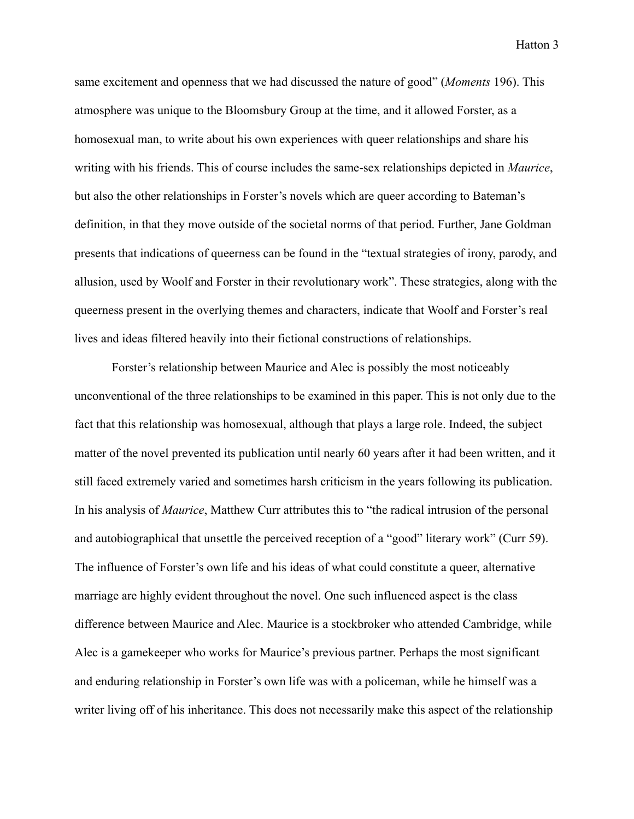same excitement and openness that we had discussed the nature of good" (*Moments* 196). This atmosphere was unique to the Bloomsbury Group at the time, and it allowed Forster, as a homosexual man, to write about his own experiences with queer relationships and share his writing with his friends. This of course includes the same-sex relationships depicted in *Maurice*, but also the other relationships in Forster's novels which are queer according to Bateman's definition, in that they move outside of the societal norms of that period. Further, Jane Goldman presents that indications of queerness can be found in the "textual strategies of irony, parody, and allusion, used by Woolf and Forster in their revolutionary work". These strategies, along with the queerness present in the overlying themes and characters, indicate that Woolf and Forster's real lives and ideas filtered heavily into their fictional constructions of relationships.

Forster's relationship between Maurice and Alec is possibly the most noticeably unconventional of the three relationships to be examined in this paper. This is not only due to the fact that this relationship was homosexual, although that plays a large role. Indeed, the subject matter of the novel prevented its publication until nearly 60 years after it had been written, and it still faced extremely varied and sometimes harsh criticism in the years following its publication. In his analysis of *Maurice*, Matthew Curr attributes this to "the radical intrusion of the personal and autobiographical that unsettle the perceived reception of a "good" literary work" (Curr 59). The influence of Forster's own life and his ideas of what could constitute a queer, alternative marriage are highly evident throughout the novel. One such influenced aspect is the class difference between Maurice and Alec. Maurice is a stockbroker who attended Cambridge, while Alec is a gamekeeper who works for Maurice's previous partner. Perhaps the most significant and enduring relationship in Forster's own life was with a policeman, while he himself was a writer living off of his inheritance. This does not necessarily make this aspect of the relationship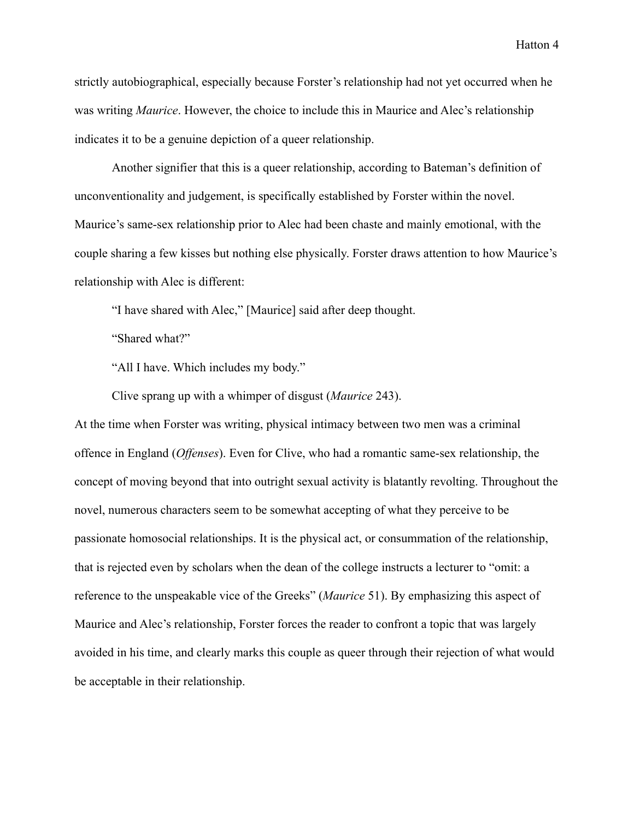strictly autobiographical, especially because Forster's relationship had not yet occurred when he was writing *Maurice*. However, the choice to include this in Maurice and Alec's relationship indicates it to be a genuine depiction of a queer relationship.

Another signifier that this is a queer relationship, according to Bateman's definition of unconventionality and judgement, is specifically established by Forster within the novel. Maurice's same-sex relationship prior to Alec had been chaste and mainly emotional, with the couple sharing a few kisses but nothing else physically. Forster draws attention to how Maurice's relationship with Alec is different:

"I have shared with Alec," [Maurice] said after deep thought.

"Shared what?"

"All I have. Which includes my body."

Clive sprang up with a whimper of disgust (*Maurice* 243).

At the time when Forster was writing, physical intimacy between two men was a criminal offence in England (*Offenses*). Even for Clive, who had a romantic same-sex relationship, the concept of moving beyond that into outright sexual activity is blatantly revolting. Throughout the novel, numerous characters seem to be somewhat accepting of what they perceive to be passionate homosocial relationships. It is the physical act, or consummation of the relationship, that is rejected even by scholars when the dean of the college instructs a lecturer to "omit: a reference to the unspeakable vice of the Greeks" (*Maurice* 51). By emphasizing this aspect of Maurice and Alec's relationship, Forster forces the reader to confront a topic that was largely avoided in his time, and clearly marks this couple as queer through their rejection of what would be acceptable in their relationship.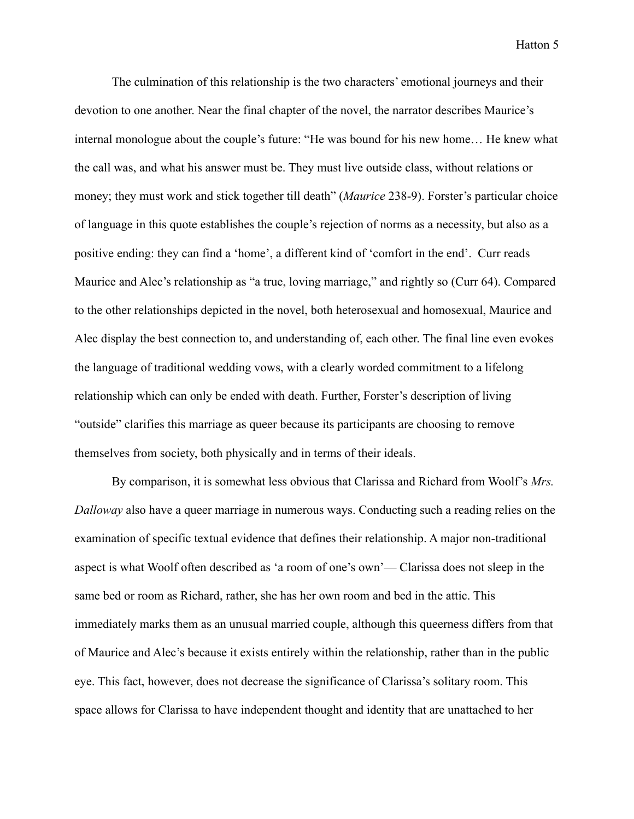The culmination of this relationship is the two characters' emotional journeys and their devotion to one another. Near the final chapter of the novel, the narrator describes Maurice's internal monologue about the couple's future: "He was bound for his new home… He knew what the call was, and what his answer must be. They must live outside class, without relations or money; they must work and stick together till death" (*Maurice* 238-9). Forster's particular choice of language in this quote establishes the couple's rejection of norms as a necessity, but also as a positive ending: they can find a 'home', a different kind of 'comfort in the end'. Curr reads Maurice and Alec's relationship as "a true, loving marriage," and rightly so (Curr 64). Compared to the other relationships depicted in the novel, both heterosexual and homosexual, Maurice and Alec display the best connection to, and understanding of, each other. The final line even evokes the language of traditional wedding vows, with a clearly worded commitment to a lifelong relationship which can only be ended with death. Further, Forster's description of living "outside" clarifies this marriage as queer because its participants are choosing to remove themselves from society, both physically and in terms of their ideals.

By comparison, it is somewhat less obvious that Clarissa and Richard from Woolf's *Mrs. Dalloway* also have a queer marriage in numerous ways. Conducting such a reading relies on the examination of specific textual evidence that defines their relationship. A major non-traditional aspect is what Woolf often described as 'a room of one's own'— Clarissa does not sleep in the same bed or room as Richard, rather, she has her own room and bed in the attic. This immediately marks them as an unusual married couple, although this queerness differs from that of Maurice and Alec's because it exists entirely within the relationship, rather than in the public eye. This fact, however, does not decrease the significance of Clarissa's solitary room. This space allows for Clarissa to have independent thought and identity that are unattached to her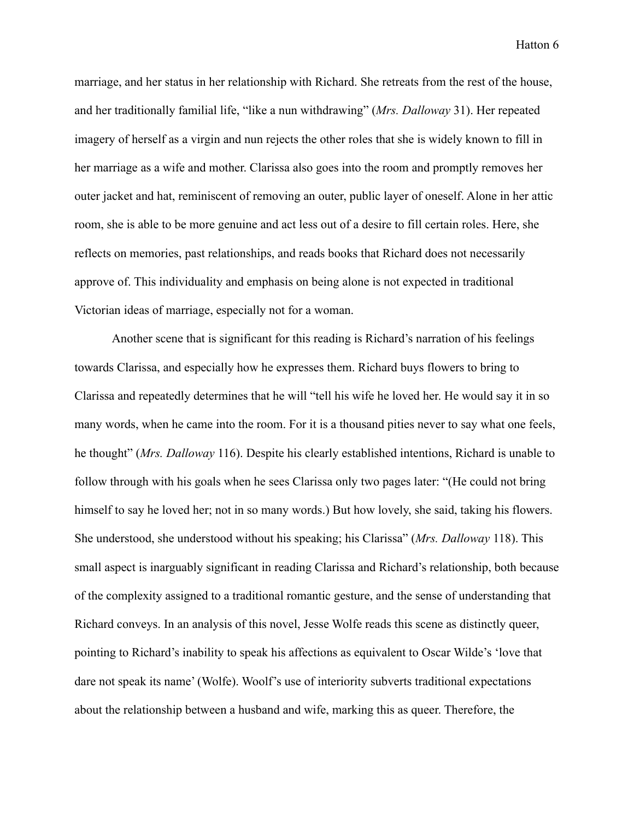marriage, and her status in her relationship with Richard. She retreats from the rest of the house, and her traditionally familial life, "like a nun withdrawing" (*Mrs. Dalloway* 31). Her repeated imagery of herself as a virgin and nun rejects the other roles that she is widely known to fill in her marriage as a wife and mother. Clarissa also goes into the room and promptly removes her outer jacket and hat, reminiscent of removing an outer, public layer of oneself. Alone in her attic room, she is able to be more genuine and act less out of a desire to fill certain roles. Here, she reflects on memories, past relationships, and reads books that Richard does not necessarily approve of. This individuality and emphasis on being alone is not expected in traditional Victorian ideas of marriage, especially not for a woman.

Another scene that is significant for this reading is Richard's narration of his feelings towards Clarissa, and especially how he expresses them. Richard buys flowers to bring to Clarissa and repeatedly determines that he will "tell his wife he loved her. He would say it in so many words, when he came into the room. For it is a thousand pities never to say what one feels, he thought" (*Mrs. Dalloway* 116). Despite his clearly established intentions, Richard is unable to follow through with his goals when he sees Clarissa only two pages later: "(He could not bring himself to say he loved her; not in so many words.) But how lovely, she said, taking his flowers. She understood, she understood without his speaking; his Clarissa" (*Mrs. Dalloway* 118). This small aspect is inarguably significant in reading Clarissa and Richard's relationship, both because of the complexity assigned to a traditional romantic gesture, and the sense of understanding that Richard conveys. In an analysis of this novel, Jesse Wolfe reads this scene as distinctly queer, pointing to Richard's inability to speak his affections as equivalent to Oscar Wilde's 'love that dare not speak its name' (Wolfe). Woolf's use of interiority subverts traditional expectations about the relationship between a husband and wife, marking this as queer. Therefore, the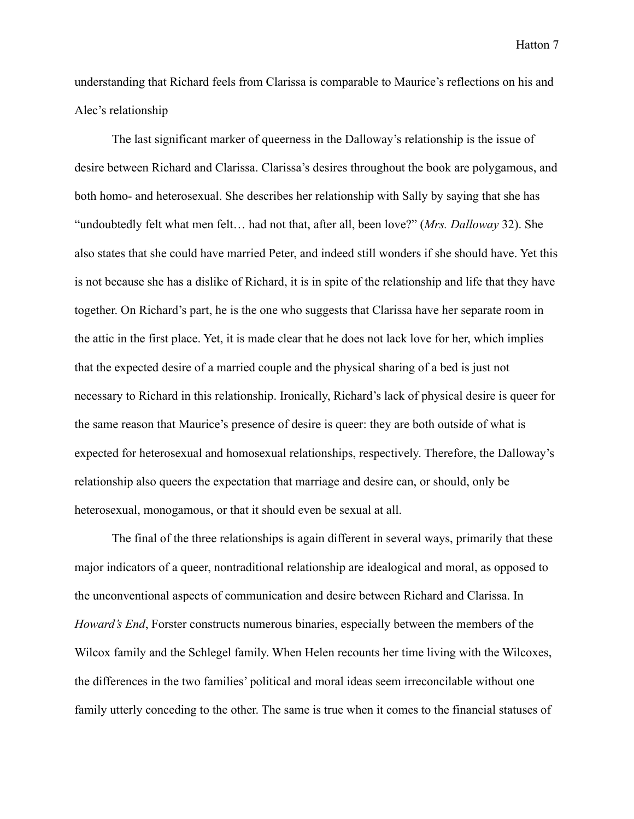understanding that Richard feels from Clarissa is comparable to Maurice's reflections on his and Alec's relationship

The last significant marker of queerness in the Dalloway's relationship is the issue of desire between Richard and Clarissa. Clarissa's desires throughout the book are polygamous, and both homo- and heterosexual. She describes her relationship with Sally by saying that she has "undoubtedly felt what men felt… had not that, after all, been love?" (*Mrs. Dalloway* 32). She also states that she could have married Peter, and indeed still wonders if she should have. Yet this is not because she has a dislike of Richard, it is in spite of the relationship and life that they have together. On Richard's part, he is the one who suggests that Clarissa have her separate room in the attic in the first place. Yet, it is made clear that he does not lack love for her, which implies that the expected desire of a married couple and the physical sharing of a bed is just not necessary to Richard in this relationship. Ironically, Richard's lack of physical desire is queer for the same reason that Maurice's presence of desire is queer: they are both outside of what is expected for heterosexual and homosexual relationships, respectively. Therefore, the Dalloway's relationship also queers the expectation that marriage and desire can, or should, only be heterosexual, monogamous, or that it should even be sexual at all.

The final of the three relationships is again different in several ways, primarily that these major indicators of a queer, nontraditional relationship are idealogical and moral, as opposed to the unconventional aspects of communication and desire between Richard and Clarissa. In *Howard's End*, Forster constructs numerous binaries, especially between the members of the Wilcox family and the Schlegel family. When Helen recounts her time living with the Wilcoxes, the differences in the two families' political and moral ideas seem irreconcilable without one family utterly conceding to the other. The same is true when it comes to the financial statuses of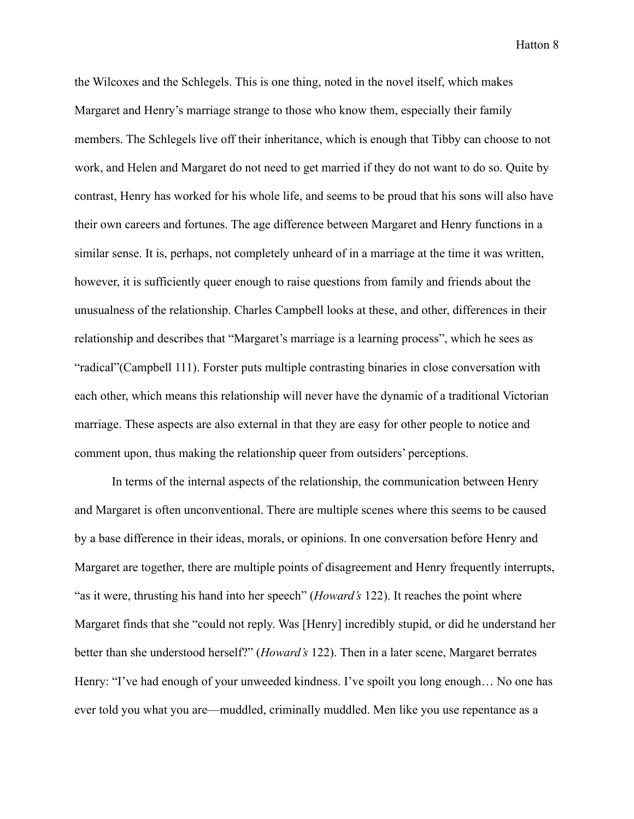the Wilcoxes and the Schlegels. This is one thing, noted in the novel itself, which makes Margaret and Henry's marriage strange to those who know them, especially their family members. The Schlegels live off their inheritance, which is enough that Tibby can choose to not work, and Helen and Margaret do not need to get married if they do not want to do so. Quite by contrast, Henry has worked for his whole life, and seems to be proud that his sons will also have their own careers and fortunes. The age difference between Margaret and Henry functions in a similar sense. It is, perhaps, not completely unheard of in a marriage at the time it was written, however, it is sufficiently queer enough to raise questions from family and friends about the unusualness of the relationship. Charles Campbell looks at these, and other, differences in their relationship and describes that "Margaret's marriage is a learning process", which he sees as "radical"(Campbell 111). Forster puts multiple contrasting binaries in close conversation with each other, which means this relationship will never have the dynamic of a traditional Victorian marriage. These aspects are also external in that they are easy for other people to notice and comment upon, thus making the relationship queer from outsiders' perceptions.

In terms of the internal aspects of the relationship, the communication between Henry and Margaret is often unconventional. There are multiple scenes where this seems to be caused by a base difference in their ideas, morals, or opinions. In one conversation before Henry and Margaret are together, there are multiple points of disagreement and Henry frequently interrupts, "as it were, thrusting his hand into her speech" (*Howard's* 122). It reaches the point where Margaret finds that she "could not reply. Was [Henry] incredibly stupid, or did he understand her better than she understood herself?" (*Howard's* 122). Then in a later scene, Margaret berrates Henry: "I've had enough of your unweeded kindness. I've spoilt you long enough... No one has ever told you what you are—muddled, criminally muddled. Men like you use repentance as a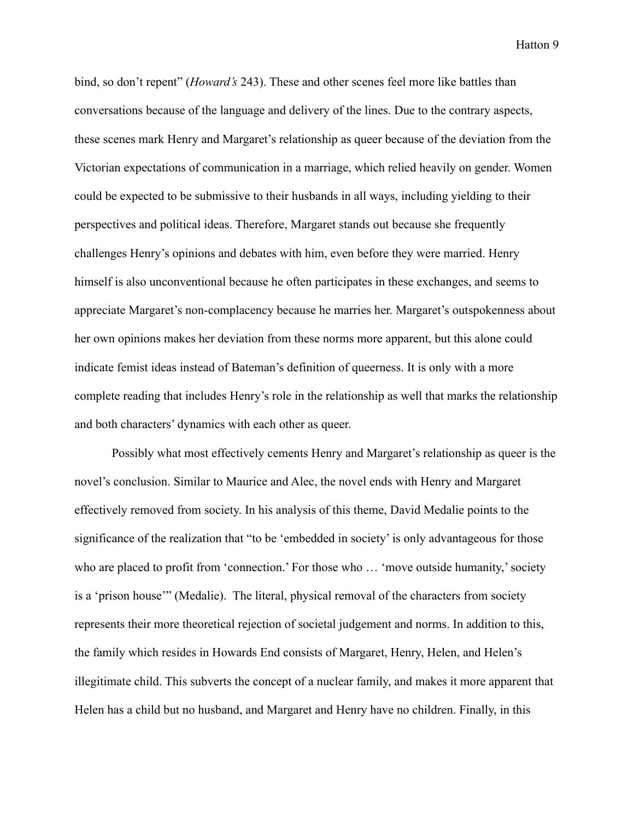bind, so don't repent" (*Howard's* 243). These and other scenes feel more like battles than conversations because of the language and delivery of the lines. Due to the contrary aspects, these scenes mark Henry and Margaret's relationship as queer because of the deviation from the Victorian expectations of communication in a marriage, which relied heavily on gender. Women could be expected to be submissive to their husbands in all ways, including yielding to their perspectives and political ideas. Therefore, Margaret stands out because she frequently challenges Henry's opinions and debates with him, even before they were married. Henry himself is also unconventional because he often participates in these exchanges, and seems to appreciate Margaret's non-complacency because he marries her. Margaret's outspokenness about her own opinions makes her deviation from these norms more apparent, but this alone could indicate femist ideas instead of Bateman's definition of queerness. It is only with a more complete reading that includes Henry's role in the relationship as well that marks the relationship and both characters' dynamics with each other as queer.

Possibly what most effectively cements Henry and Margaret's relationship as queer is the novel's conclusion. Similar to Maurice and Alec, the novel ends with Henry and Margaret effectively removed from society. In his analysis of this theme, David Medalie points to the significance of the realization that "to be 'embedded in society' is only advantageous for those who are placed to profit from 'connection.' For those who ... 'move outside humanity,' society is a 'prison house'" (Medalie). The literal, physical removal of the characters from society represents their more theoretical rejection of societal judgement and norms. In addition to this, the family which resides in Howards End consists of Margaret, Henry, Helen, and Helen's illegitimate child. This subverts the concept of a nuclear family, and makes it more apparent that Helen has a child but no husband, and Margaret and Henry have no children. Finally, in this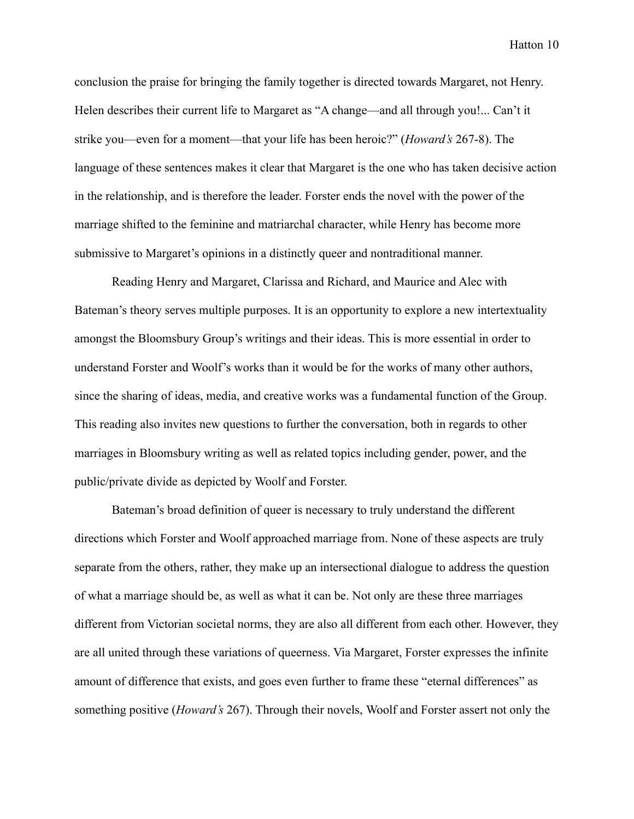conclusion the praise for bringing the family together is directed towards Margaret, not Henry. Helen describes their current life to Margaret as "A change—and all through you!... Can't it strike you—even for a moment—that your life has been heroic?" (*Howard's* 267-8). The language of these sentences makes it clear that Margaret is the one who has taken decisive action in the relationship, and is therefore the leader. Forster ends the novel with the power of the marriage shifted to the feminine and matriarchal character, while Henry has become more submissive to Margaret's opinions in a distinctly queer and nontraditional manner.

Reading Henry and Margaret, Clarissa and Richard, and Maurice and Alec with Bateman's theory serves multiple purposes. It is an opportunity to explore a new intertextuality amongst the Bloomsbury Group's writings and their ideas. This is more essential in order to understand Forster and Woolf's works than it would be for the works of many other authors, since the sharing of ideas, media, and creative works was a fundamental function of the Group. This reading also invites new questions to further the conversation, both in regards to other marriages in Bloomsbury writing as well as related topics including gender, power, and the public/private divide as depicted by Woolf and Forster.

Bateman's broad definition of queer is necessary to truly understand the different directions which Forster and Woolf approached marriage from. None of these aspects are truly separate from the others, rather, they make up an intersectional dialogue to address the question of what a marriage should be, as well as what it can be. Not only are these three marriages different from Victorian societal norms, they are also all different from each other. However, they are all united through these variations of queerness. Via Margaret, Forster expresses the infinite amount of difference that exists, and goes even further to frame these "eternal differences" as something positive (*Howard's* 267). Through their novels, Woolf and Forster assert not only the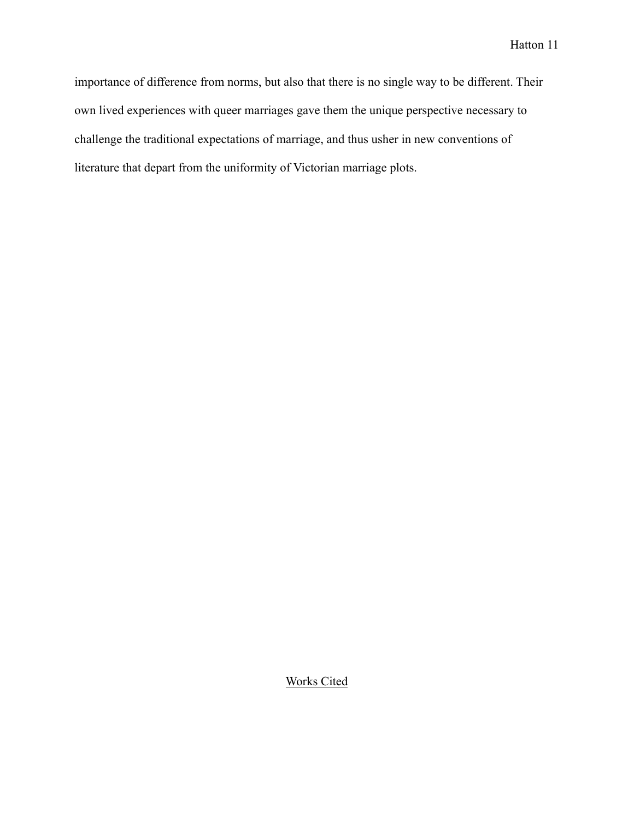importance of difference from norms, but also that there is no single way to be different. Their own lived experiences with queer marriages gave them the unique perspective necessary to challenge the traditional expectations of marriage, and thus usher in new conventions of literature that depart from the uniformity of Victorian marriage plots.

Works Cited